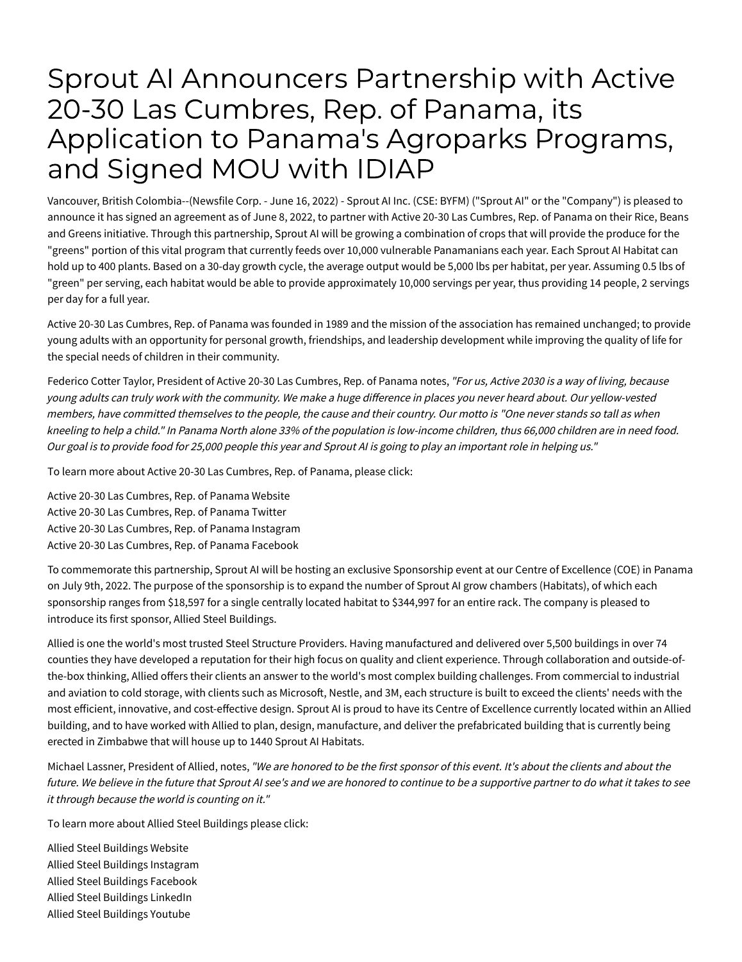## Sprout AI Announcers Partnership with Active 20-30 Las Cumbres, Rep. of Panama, its Application to Panama's Agroparks Programs, and Signed MOU with IDIAP

Vancouver, British Colombia--(Newsfile Corp. - June 16, 2022) - Sprout AI Inc. (CSE: BYFM) ("Sprout AI" or the "Company") is pleased to announce it has signed an agreement as of June 8, 2022, to partner with Active 20-30 Las Cumbres, Rep. of Panama on their Rice, Beans and Greens initiative. Through this partnership, Sprout AI will be growing a combination of crops that will provide the produce for the "greens" portion of this vital program that currently feeds over 10,000 vulnerable Panamanians each year. Each Sprout AI Habitat can hold up to 400 plants. Based on a 30-day growth cycle, the average output would be 5,000 lbs per habitat, per year. Assuming 0.5 lbs of "green" per serving, each habitat would be able to provide approximately 10,000 servings per year, thus providing 14 people, 2 servings per day for a full year.

Active 20-30 Las Cumbres, Rep. of Panama was founded in 1989 and the mission of the association has remained unchanged; to provide young adults with an opportunity for personal growth, friendships, and leadership development while improving the quality of life for the special needs of children in their community.

Federico Cotter Taylor, President of Active 20-30 Las Cumbres, Rep. of Panama notes, "For us, Active 2030 is a way of living, because young adults can truly work with the community. We make a huge difference in places you never heard about. Our yellow-vested members, have committed themselves to the people, the cause and their country. Our motto is "One never stands so tall as when kneeling to help a child." In Panama North alone 33% of the population is low-income children, thus 66,000 children are in need food. Our goal is to provide food for 25,000 people this year and Sprout AI is going to play an important role in helping us."

To learn more about Active 20-30 Las Cumbres, Rep. of Panama, please click:

[Active 20-30 Las Cumbres, Rep. of Panama Website](https://activo2030lc.org/) [Active 20-30 Las Cumbres, Rep. of Panama Twitter](https://twitter.com/Activo2030LC?s=20&t=xdz5YiMXyT-TeJewCEH2sg) [Active 20-30 Las Cumbres, Rep. of Panama Instagram](https://www.instagram.com/activo2030lc/) [Active 20-30 Las Cumbres, Rep. of Panama Facebook](https://www.facebook.com/Activo2030LC/)

To commemorate this partnership, Sprout AI will be hosting an exclusive Sponsorship event at our Centre of Excellence (COE) in Panama on July 9th, 2022. The purpose of the sponsorship is to expand the number of Sprout AI grow chambers (Habitats), of which each sponsorship ranges from \$18,597 for a single centrally located habitat to \$344,997 for an entire rack. The company is pleased to introduce its first sponsor, Allied Steel Buildings.

Allied is one the world's most trusted Steel Structure Providers. Having manufactured and delivered over 5,500 buildings in over 74 counties they have developed a reputation for their high focus on quality and client experience. Through collaboration and outside-ofthe-box thinking, Allied offers their clients an answer to the world's most complex building challenges. From commercial to industrial and aviation to cold storage, with clients such as Microsoft, Nestle, and 3M, each structure is built to exceed the clients' needs with the most efficient, innovative, and cost-effective design. Sprout AI is proud to have its Centre of Excellence currently located within an Allied building, and to have worked with Allied to plan, design, manufacture, and deliver the prefabricated building that is currently being erected in Zimbabwe that will house up to 1440 Sprout AI Habitats.

Michael Lassner, President of Allied, notes, "We are honored to be the first sponsor of this event. It's about the clients and about the future. We believe in the future that Sprout AI see's and we are honored to continue to be a supportive partner to do what it takes to see it through because the world is counting on it."

To learn more about Allied Steel Buildings please click:

[Allied Steel Buildings Website](https://www.alliedbuildings.com/) [Allied Steel Buildings Instagram](https://www.instagram.com/alliedbuildings/?hl=en) [Allied Steel Buildings Facebook](https://www.facebook.com/alliedsteelbuildings/) [Allied Steel Buildings LinkedIn](https://www.linkedin.com/company/1199371/admin/) [Allied Steel Buildings Youtube](https://www.youtube.com/channel/UCyQTJItvdesyZPSkpHcwKLw)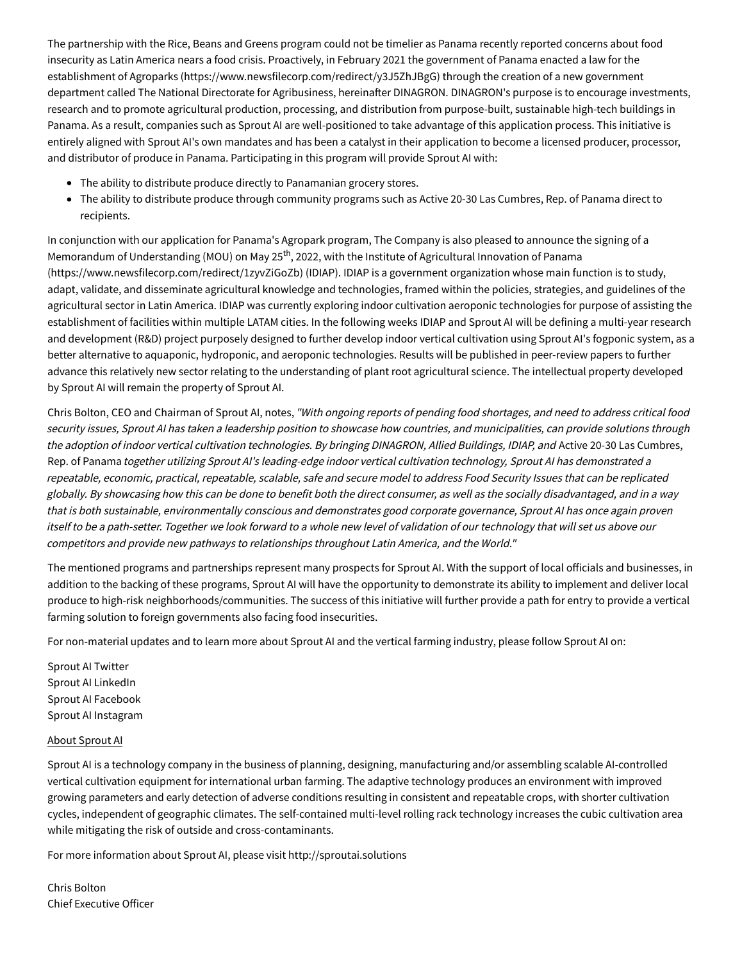The partnership with the Rice, Beans and Greens program could not be timelier as Panama recently reported concerns about food insecurity as Latin America nears a food crisis. Proactively, in February 2021 the government of Panama enacted a law for the [establishment of Agroparks \(https://www.newsfilecorp.com/redirect/y3J5ZhJBgG\) through the creation of a new government](https://www.newsfilecorp.com/redirect/y3J5ZhJBgG) department called The National Directorate for Agribusiness, hereinafter DINAGRON. DINAGRON's purpose is to encourage investments, research and to promote agricultural production, processing, and distribution from purpose-built, sustainable high-tech buildings in Panama. As a result, companies such as Sprout AI are well-positioned to take advantage of this application process. This initiative is entirely aligned with Sprout AI's own mandates and has been a catalyst in their application to become a licensed producer, processor, and distributor of produce in Panama. Participating in this program will provide Sprout AI with:

- The ability to distribute produce directly to Panamanian grocery stores.
- The ability to distribute produce through community programs such as Active 20-30 Las Cumbres, Rep. of Panama direct to recipients.

In conjunction with our application for Panama's Agropark program, The Company is also pleased to announce the signing of a Memorandum of Understanding (MOU) on May 25<sup>[th](https://www.newsfilecorp.com/redirect/1zyvZiGoZb)</sup>, 2022, with the Institute of Agricultural Innovation of Panama (https://www.newsfilecorp.com/redirect/1zyvZiGoZb) (IDIAP). IDIAP is a government organization whose main function is to study, adapt, validate, and disseminate agricultural knowledge and technologies, framed within the policies, strategies, and guidelines of the agricultural sector in Latin America. IDIAP was currently exploring indoor cultivation aeroponic technologies for purpose of assisting the establishment of facilities within multiple LATAM cities. In the following weeks IDIAP and Sprout AI will be defining a multi-year research and development (R&D) project purposely designed to further develop indoor vertical cultivation using Sprout AI's fogponic system, as a better alternative to aquaponic, hydroponic, and aeroponic technologies. Results will be published in peer-review papers to further advance this relatively new sector relating to the understanding of plant root agricultural science. The intellectual property developed by Sprout AI will remain the property of Sprout AI.

Chris Bolton, CEO and Chairman of Sprout AI, notes, "With ongoing reports of pending food shortages, and need to address critical food security issues, Sprout AI has taken a leadership position to showcase how countries, and municipalities, can provide solutions through the adoption of indoor vertical cultivation technologies. By bringing DINAGRON, Allied Buildings, IDIAP, and Active 20-30 Las Cumbres, Rep. of Panama together utilizing Sprout AI's leading-edge indoor vertical cultivation technology, Sprout AI has demonstrated a repeatable, economic, practical, repeatable, scalable, safe and secure model to address Food Security Issues that can be replicated globally. By showcasing how this can be done to benefit both the direct consumer, as well as the socially disadvantaged, and in a way that is both sustainable, environmentally conscious and demonstrates good corporate governance, Sprout AI has once again proven itself to be a path-setter. Together we look forward to a whole new level of validation of our technology that will set us above our competitors and provide new pathways to relationships throughout Latin America, and the World."

The mentioned programs and partnerships represent many prospects for Sprout AI. With the support of local officials and businesses, in addition to the backing of these programs, Sprout AI will have the opportunity to demonstrate its ability to implement and deliver local produce to high-risk neighborhoods/communities. The success of this initiative will further provide a path for entry to provide a vertical farming solution to foreign governments also facing food insecurities.

For non-material updates and to learn more about Sprout AI and the vertical farming industry, please follow Sprout AI on:

Sprout Al Twitter Sprout AI LinkedIn Sprout Al Facebook Sprout Al Instagram

## About Sprout Al

Sprout AI is a technology company in the business of planning, designing, manufacturing and/or assembling scalable AI-controlled vertical cultivation equipment for international urban farming. The adaptive technology produces an environment with improved growing parameters and early detection of adverse conditions resulting in consistent and repeatable crops, with shorter cultivation cycles, independent of geographic climates. The self-contained multi-level rolling rack technology increases the cubic cultivation area while mitigating the risk of outside and cross-contaminants.

For more information about Sprout AI, please visit http://sproutai.solutions

Chris Bolton **Chief Executive Officer**